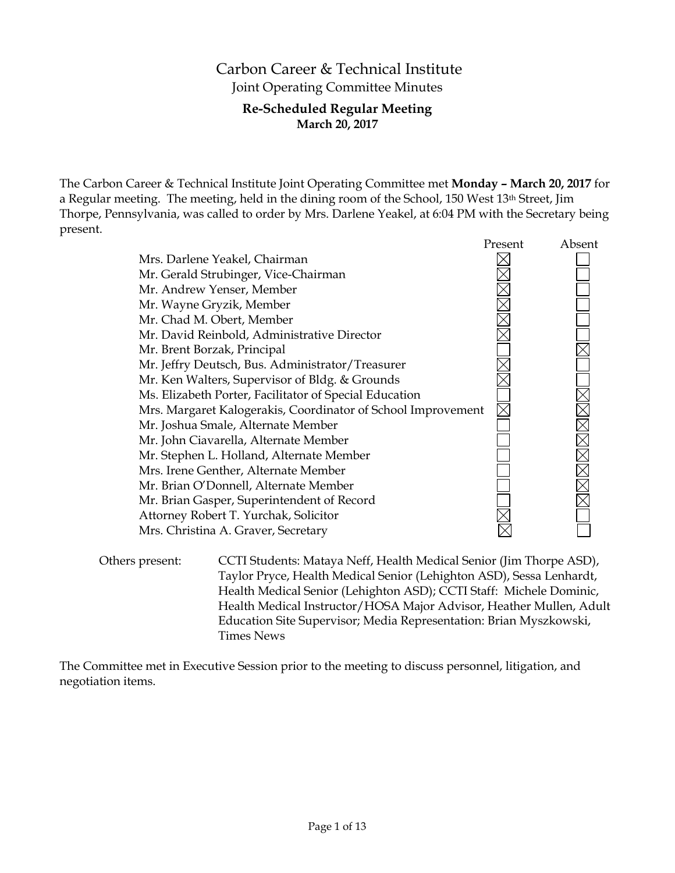# Carbon Career & Technical Institute Joint Operating Committee Minutes

# **Re-Scheduled Regular Meeting March 20, 2017**

The Carbon Career & Technical Institute Joint Operating Committee met **Monday – March 20, 2017** for a Regular meeting. The meeting, held in the dining room of the School, 150 West 13th Street, Jim Thorpe, Pennsylvania, was called to order by Mrs. Darlene Yeakel, at 6:04 PM with the Secretary being present.

|                                                              | Present | Absent |
|--------------------------------------------------------------|---------|--------|
| Mrs. Darlene Yeakel, Chairman                                |         |        |
| Mr. Gerald Strubinger, Vice-Chairman                         |         |        |
| Mr. Andrew Yenser, Member                                    |         |        |
| Mr. Wayne Gryzik, Member                                     |         |        |
| Mr. Chad M. Obert, Member                                    |         |        |
| Mr. David Reinbold, Administrative Director                  |         |        |
| Mr. Brent Borzak, Principal                                  |         |        |
| Mr. Jeffry Deutsch, Bus. Administrator/Treasurer             |         |        |
| Mr. Ken Walters, Supervisor of Bldg. & Grounds               |         |        |
| Ms. Elizabeth Porter, Facilitator of Special Education       |         |        |
| Mrs. Margaret Kalogerakis, Coordinator of School Improvement |         |        |
| Mr. Joshua Smale, Alternate Member                           |         |        |
| Mr. John Ciavarella, Alternate Member                        |         |        |
| Mr. Stephen L. Holland, Alternate Member                     |         |        |
| Mrs. Irene Genther, Alternate Member                         |         |        |
| Mr. Brian O'Donnell, Alternate Member                        |         |        |
| Mr. Brian Gasper, Superintendent of Record                   |         |        |
| Attorney Robert T. Yurchak, Solicitor                        |         |        |
| Mrs. Christina A. Graver, Secretary                          |         |        |
|                                                              |         |        |

Others present: CCTI Students: Mataya Neff, Health Medical Senior (Jim Thorpe ASD), Taylor Pryce, Health Medical Senior (Lehighton ASD), Sessa Lenhardt, Health Medical Senior (Lehighton ASD); CCTI Staff: Michele Dominic, Health Medical Instructor/HOSA Major Advisor, Heather Mullen, Adult Education Site Supervisor; Media Representation: Brian Myszkowski, Times News

The Committee met in Executive Session prior to the meeting to discuss personnel, litigation, and negotiation items.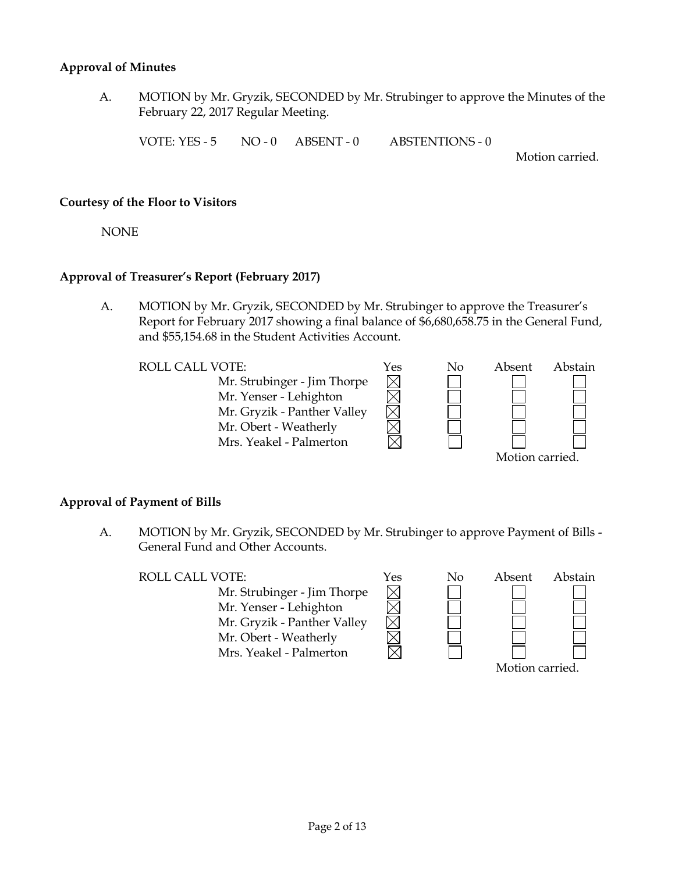### **Approval of Minutes**

A. MOTION by Mr. Gryzik, SECONDED by Mr. Strubinger to approve the Minutes of the February 22, 2017 Regular Meeting.

VOTE: YES - 5 NO - 0 ABSENT - 0 ABSTENTIONS - 0

Motion carried.

### **Courtesy of the Floor to Visitors**

NONE

# **Approval of Treasurer's Report (February 2017)**

A. MOTION by Mr. Gryzik, SECONDED by Mr. Strubinger to approve the Treasurer's Report for February 2017 showing a final balance of \$6,680,658.75 in the General Fund, and \$55,154.68 in the Student Activities Account.

> $\boxtimes$  $\overline{\boxtimes}$

> $\boxtimes$

Mr. Strubinger - Jim Thorpe Mr. Yenser - Lehighton Mr. Gryzik - Panther Valley Mr. Obert - Weatherly Mrs. Yeakel - Palmerton



# **Approval of Payment of Bills**

A. MOTION by Mr. Gryzik, SECONDED by Mr. Strubinger to approve Payment of Bills - General Fund and Other Accounts.

ROLL CALL VOTE:  $\gamma$ es No Abstra

Mr. Strubinger - Jim Thorpe Mr. Yenser - Lehighton Mr. Gryzik - Panther Valley Mr. Obert - Weatherly Mrs. Yeakel - Palmerton



| Absent          | Abstain |
|-----------------|---------|
|                 |         |
|                 |         |
|                 |         |
|                 |         |
|                 |         |
| Motion carried. |         |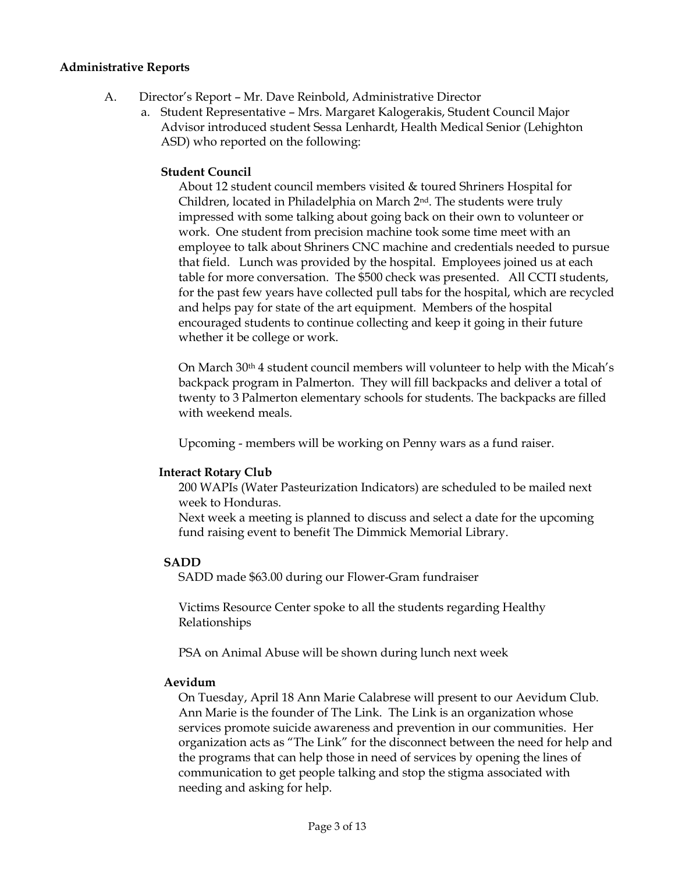### **Administrative Reports**

- A. Director's Report Mr. Dave Reinbold, Administrative Director
	- a. Student Representative Mrs. Margaret Kalogerakis, Student Council Major Advisor introduced student Sessa Lenhardt, Health Medical Senior (Lehighton ASD) who reported on the following:

### **Student Council**

About 12 student council members visited & toured Shriners Hospital for Children, located in Philadelphia on March 2nd. The students were truly impressed with some talking about going back on their own to volunteer or work. One student from precision machine took some time meet with an employee to talk about Shriners CNC machine and credentials needed to pursue that field. Lunch was provided by the hospital. Employees joined us at each table for more conversation. The \$500 check was presented. All CCTI students, for the past few years have collected pull tabs for the hospital, which are recycled and helps pay for state of the art equipment. Members of the hospital encouraged students to continue collecting and keep it going in their future whether it be college or work.

On March 30th 4 student council members will volunteer to help with the Micah's backpack program in Palmerton. They will fill backpacks and deliver a total of twenty to 3 Palmerton elementary schools for students. The backpacks are filled with weekend meals.

Upcoming - members will be working on Penny wars as a fund raiser.

### **Interact Rotary Club**

200 WAPIs (Water Pasteurization Indicators) are scheduled to be mailed next week to Honduras.

Next week a meeting is planned to discuss and select a date for the upcoming fund raising event to benefit The Dimmick Memorial Library.

### **SADD**

SADD made \$63.00 during our Flower-Gram fundraiser

Victims Resource Center spoke to all the students regarding Healthy Relationships

PSA on Animal Abuse will be shown during lunch next week

#### **Aevidum**

On Tuesday, April 18 Ann Marie Calabrese will present to our Aevidum Club. Ann Marie is the founder of The Link. The Link is an organization whose services promote suicide awareness and prevention in our communities. Her organization acts as "The Link" for the disconnect between the need for help and the programs that can help those in need of services by opening the lines of communication to get people talking and stop the stigma associated with needing and asking for help.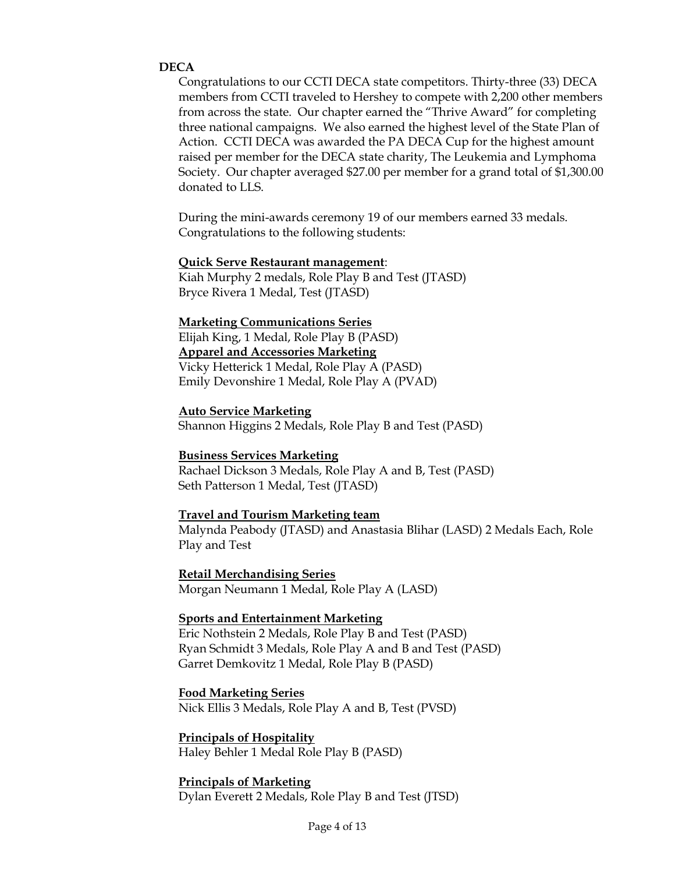### **DECA**

Congratulations to our CCTI DECA state competitors. Thirty-three (33) DECA members from CCTI traveled to Hershey to compete with 2,200 other members from across the state. Our chapter earned the "Thrive Award" for completing three national campaigns. We also earned the highest level of the State Plan of Action. CCTI DECA was awarded the PA DECA Cup for the highest amount raised per member for the DECA state charity, The Leukemia and Lymphoma Society. Our chapter averaged \$27.00 per member for a grand total of \$1,300.00 donated to LLS.

During the mini-awards ceremony 19 of our members earned 33 medals. Congratulations to the following students:

### **Quick Serve Restaurant management**:

Kiah Murphy 2 medals, Role Play B and Test (JTASD) Bryce Rivera 1 Medal, Test (JTASD)

#### **Marketing Communications Series**

Elijah King, 1 Medal, Role Play B (PASD) **Apparel and Accessories Marketing** Vicky Hetterick 1 Medal, Role Play A (PASD) Emily Devonshire 1 Medal, Role Play A (PVAD)

#### **Auto Service Marketing**

Shannon Higgins 2 Medals, Role Play B and Test (PASD)

#### **Business Services Marketing**

Rachael Dickson 3 Medals, Role Play A and B, Test (PASD) Seth Patterson 1 Medal, Test (JTASD)

### **Travel and Tourism Marketing team**

Malynda Peabody (JTASD) and Anastasia Blihar (LASD) 2 Medals Each, Role Play and Test

**Retail Merchandising Series** Morgan Neumann 1 Medal, Role Play A (LASD)

### **Sports and Entertainment Marketing**

Eric Nothstein 2 Medals, Role Play B and Test (PASD) Ryan Schmidt 3 Medals, Role Play A and B and Test (PASD) Garret Demkovitz 1 Medal, Role Play B (PASD)

#### **Food Marketing Series**

Nick Ellis 3 Medals, Role Play A and B, Test (PVSD)

#### **Principals of Hospitality**

Haley Behler 1 Medal Role Play B (PASD)

#### **Principals of Marketing**

Dylan Everett 2 Medals, Role Play B and Test (JTSD)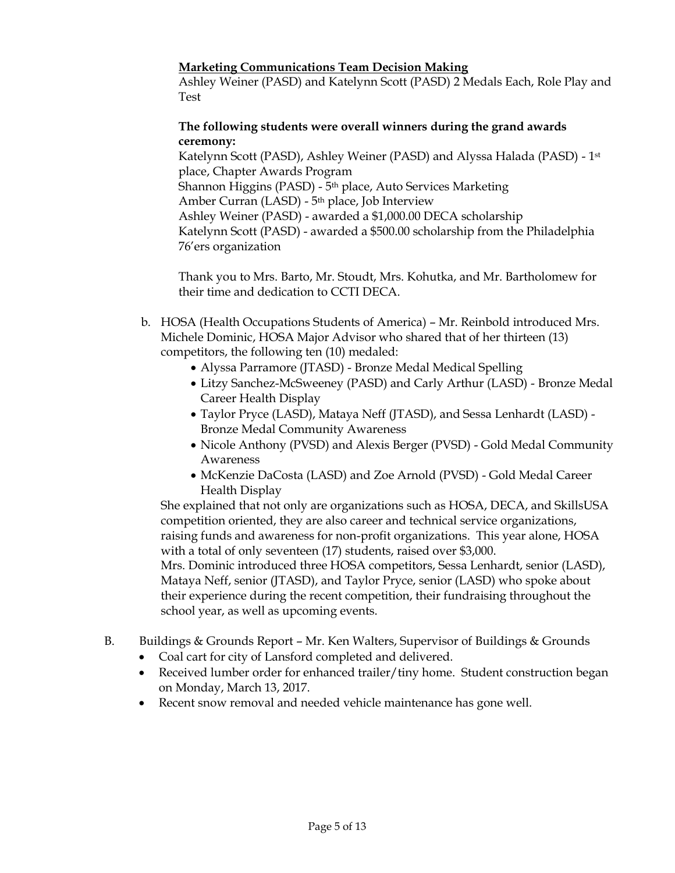# **Marketing Communications Team Decision Making**

Ashley Weiner (PASD) and Katelynn Scott (PASD) 2 Medals Each, Role Play and Test

# **The following students were overall winners during the grand awards ceremony:**

Katelynn Scott (PASD), Ashley Weiner (PASD) and Alyssa Halada (PASD) - 1st place, Chapter Awards Program Shannon Higgins (PASD) - 5<sup>th</sup> place, Auto Services Marketing Amber Curran (LASD) - 5th place, Job Interview Ashley Weiner (PASD) - awarded a \$1,000.00 DECA scholarship Katelynn Scott (PASD) - awarded a \$500.00 scholarship from the Philadelphia 76'ers organization

Thank you to Mrs. Barto, Mr. Stoudt, Mrs. Kohutka, and Mr. Bartholomew for their time and dedication to CCTI DECA.

- b. HOSA (Health Occupations Students of America) Mr. Reinbold introduced Mrs. Michele Dominic, HOSA Major Advisor who shared that of her thirteen (13) competitors, the following ten (10) medaled:
	- Alyssa Parramore (JTASD) Bronze Medal Medical Spelling
	- Litzy Sanchez-McSweeney (PASD) and Carly Arthur (LASD) Bronze Medal Career Health Display
	- Taylor Pryce (LASD), Mataya Neff (JTASD), and Sessa Lenhardt (LASD) Bronze Medal Community Awareness
	- Nicole Anthony (PVSD) and Alexis Berger (PVSD) Gold Medal Community Awareness
	- McKenzie DaCosta (LASD) and Zoe Arnold (PVSD) Gold Medal Career Health Display

She explained that not only are organizations such as HOSA, DECA, and SkillsUSA competition oriented, they are also career and technical service organizations, raising funds and awareness for non-profit organizations. This year alone, HOSA with a total of only seventeen (17) students, raised over \$3,000.

Mrs. Dominic introduced three HOSA competitors, Sessa Lenhardt, senior (LASD), Mataya Neff, senior (JTASD), and Taylor Pryce, senior (LASD) who spoke about their experience during the recent competition, their fundraising throughout the school year, as well as upcoming events.

- B. Buildings & Grounds Report Mr. Ken Walters, Supervisor of Buildings & Grounds
	- Coal cart for city of Lansford completed and delivered.
	- Received lumber order for enhanced trailer/tiny home. Student construction began on Monday, March 13, 2017.
	- Recent snow removal and needed vehicle maintenance has gone well.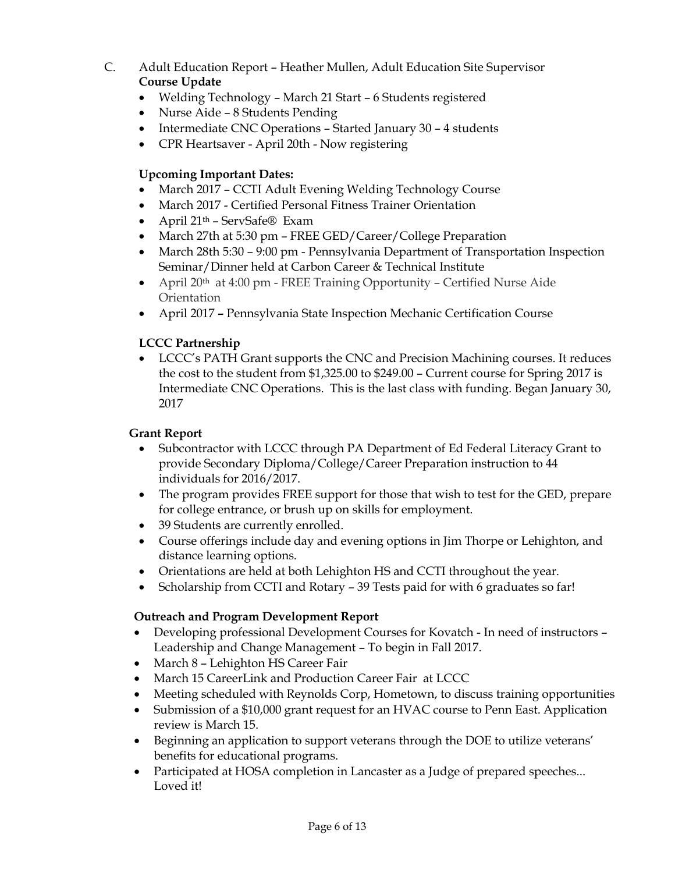- C. Adult Education Report Heather Mullen, Adult Education Site Supervisor **Course Update**
	- Welding Technology March 21 Start 6 Students registered
	- Nurse Aide 8 Students Pending
	- Intermediate CNC Operations Started January 30 4 students
	- CPR Heartsaver April 20th Now registering

# **Upcoming Important Dates:**

- March 2017 CCTI Adult Evening Welding Technology Course
- March 2017 Certified Personal Fitness Trainer Orientation
- April 21th ServSafe® Exam
- March 27th at 5:30 pm FREE GED/Career/College Preparation
- March 28th 5:30 9:00 pm Pennsylvania Department of Transportation Inspection Seminar/Dinner held at Carbon Career & Technical Institute
- April 20<sup>th</sup> at 4:00 pm FREE Training Opportunity Certified Nurse Aide **Orientation**
- April 2017 **–** Pennsylvania State Inspection Mechanic Certification Course

# **LCCC Partnership**

 LCCC's PATH Grant supports the CNC and Precision Machining courses. It reduces the cost to the student from \$1,325.00 to \$249.00 – Current course for Spring 2017 is Intermediate CNC Operations. This is the last class with funding. Began January 30, 2017

# **Grant Report**

- Subcontractor with LCCC through PA Department of Ed Federal Literacy Grant to provide Secondary Diploma/College/Career Preparation instruction to 44 individuals for 2016/2017.
- The program provides FREE support for those that wish to test for the GED, prepare for college entrance, or brush up on skills for employment.
- 39 Students are currently enrolled.
- Course offerings include day and evening options in Jim Thorpe or Lehighton, and distance learning options.
- Orientations are held at both Lehighton HS and CCTI throughout the year.
- Scholarship from CCTI and Rotary 39 Tests paid for with 6 graduates so far!

# **Outreach and Program Development Report**

- Developing professional Development Courses for Kovatch In need of instructors Leadership and Change Management – To begin in Fall 2017.
- March 8 Lehighton HS Career Fair
- March 15 CareerLink and Production Career Fair at LCCC
- Meeting scheduled with Reynolds Corp, Hometown, to discuss training opportunities
- Submission of a \$10,000 grant request for an HVAC course to Penn East. Application review is March 15.
- Beginning an application to support veterans through the DOE to utilize veterans' benefits for educational programs.
- Participated at HOSA completion in Lancaster as a Judge of prepared speeches... Loved it!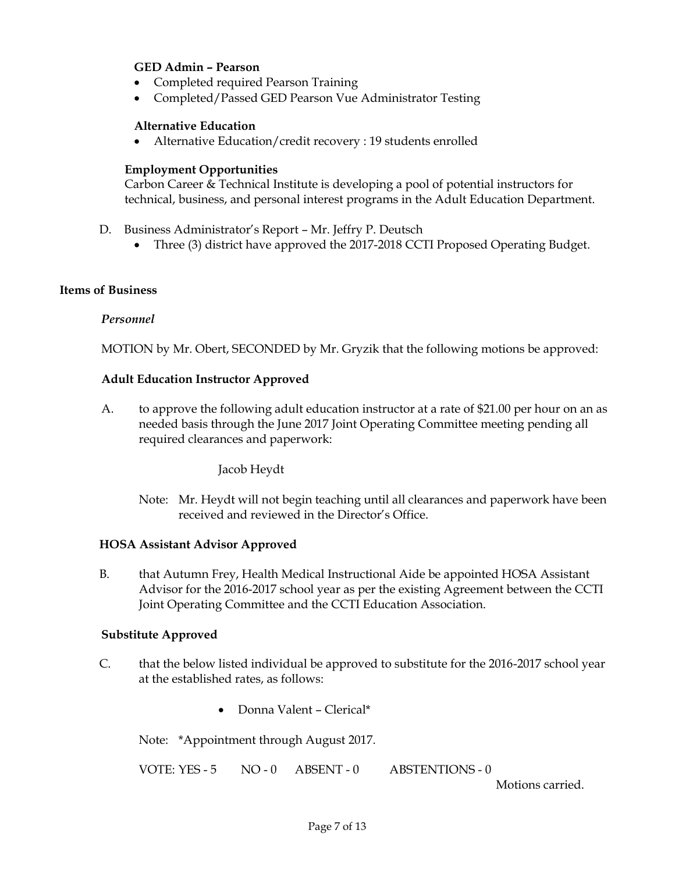# **GED Admin – Pearson**

- Completed required Pearson Training
- Completed/Passed GED Pearson Vue Administrator Testing

### **Alternative Education**

Alternative Education/credit recovery : 19 students enrolled

### **Employment Opportunities**

Carbon Career & Technical Institute is developing a pool of potential instructors for technical, business, and personal interest programs in the Adult Education Department.

- D. Business Administrator's Report Mr. Jeffry P. Deutsch
	- Three (3) district have approved the 2017-2018 CCTI Proposed Operating Budget.

# **Items of Business**

### *Personnel*

MOTION by Mr. Obert, SECONDED by Mr. Gryzik that the following motions be approved:

### **Adult Education Instructor Approved**

A. to approve the following adult education instructor at a rate of \$21.00 per hour on an as needed basis through the June 2017 Joint Operating Committee meeting pending all required clearances and paperwork:

Jacob Heydt

Note: Mr. Heydt will not begin teaching until all clearances and paperwork have been received and reviewed in the Director's Office.

### **HOSA Assistant Advisor Approved**

B. that Autumn Frey, Health Medical Instructional Aide be appointed HOSA Assistant Advisor for the 2016-2017 school year as per the existing Agreement between the CCTI Joint Operating Committee and the CCTI Education Association.

### **Substitute Approved**

- C. that the below listed individual be approved to substitute for the 2016-2017 school year at the established rates, as follows:
	- Donna Valent Clerical\*

Note: \*Appointment through August 2017.

VOTE: YES - 5 NO - 0 ABSENT - 0 ABSTENTIONS - 0

Motions carried.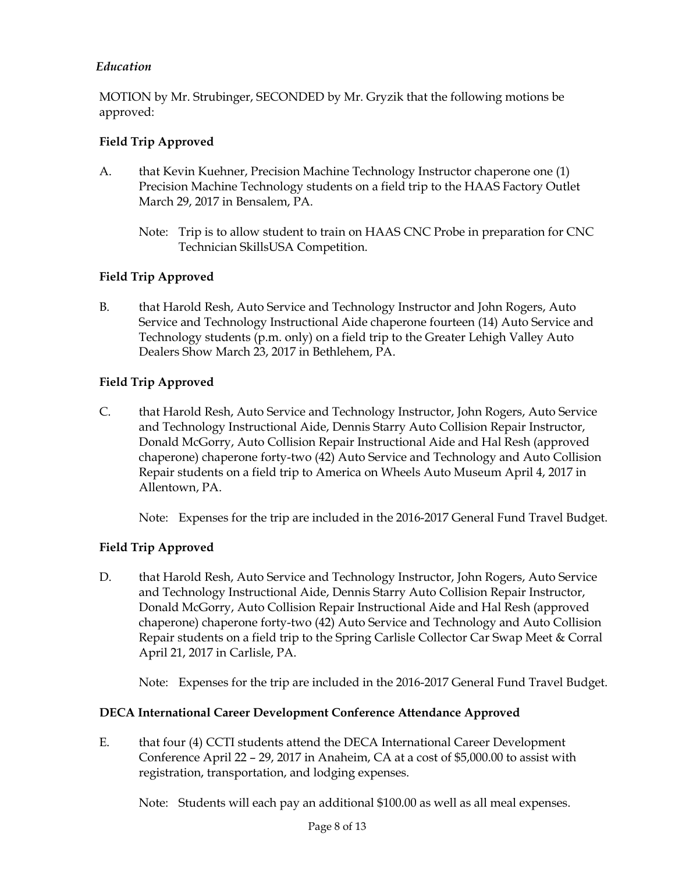# *Education*

MOTION by Mr. Strubinger, SECONDED by Mr. Gryzik that the following motions be approved:

# **Field Trip Approved**

- A. that Kevin Kuehner, Precision Machine Technology Instructor chaperone one (1) Precision Machine Technology students on a field trip to the HAAS Factory Outlet March 29, 2017 in Bensalem, PA.
	- Note: Trip is to allow student to train on HAAS CNC Probe in preparation for CNC Technician SkillsUSA Competition.

# **Field Trip Approved**

B. that Harold Resh, Auto Service and Technology Instructor and John Rogers, Auto Service and Technology Instructional Aide chaperone fourteen (14) Auto Service and Technology students (p.m. only) on a field trip to the Greater Lehigh Valley Auto Dealers Show March 23, 2017 in Bethlehem, PA.

# **Field Trip Approved**

C. that Harold Resh, Auto Service and Technology Instructor, John Rogers, Auto Service and Technology Instructional Aide, Dennis Starry Auto Collision Repair Instructor, Donald McGorry, Auto Collision Repair Instructional Aide and Hal Resh (approved chaperone) chaperone forty-two (42) Auto Service and Technology and Auto Collision Repair students on a field trip to America on Wheels Auto Museum April 4, 2017 in Allentown, PA.

Note: Expenses for the trip are included in the 2016-2017 General Fund Travel Budget.

# **Field Trip Approved**

D. that Harold Resh, Auto Service and Technology Instructor, John Rogers, Auto Service and Technology Instructional Aide, Dennis Starry Auto Collision Repair Instructor, Donald McGorry, Auto Collision Repair Instructional Aide and Hal Resh (approved chaperone) chaperone forty-two (42) Auto Service and Technology and Auto Collision Repair students on a field trip to the Spring Carlisle Collector Car Swap Meet & Corral April 21, 2017 in Carlisle, PA.

Note: Expenses for the trip are included in the 2016-2017 General Fund Travel Budget.

# **DECA International Career Development Conference Attendance Approved**

E. that four (4) CCTI students attend the DECA International Career Development Conference April 22 – 29, 2017 in Anaheim, CA at a cost of \$5,000.00 to assist with registration, transportation, and lodging expenses.

Note: Students will each pay an additional \$100.00 as well as all meal expenses.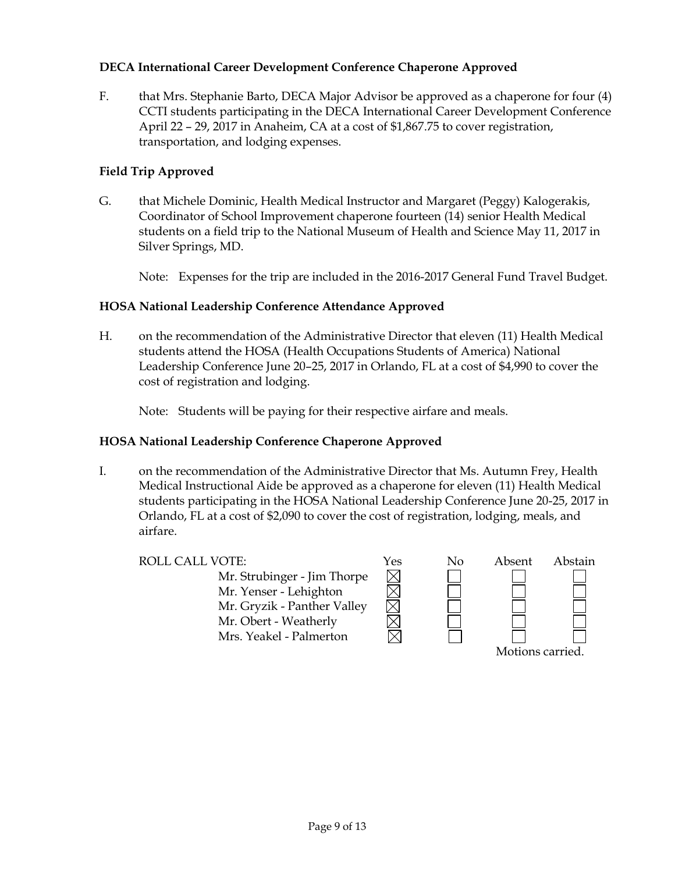# **DECA International Career Development Conference Chaperone Approved**

F. that Mrs. Stephanie Barto, DECA Major Advisor be approved as a chaperone for four (4) CCTI students participating in the DECA International Career Development Conference April 22 – 29, 2017 in Anaheim, CA at a cost of \$1,867.75 to cover registration, transportation, and lodging expenses.

# **Field Trip Approved**

G. that Michele Dominic, Health Medical Instructor and Margaret (Peggy) Kalogerakis, Coordinator of School Improvement chaperone fourteen (14) senior Health Medical students on a field trip to the National Museum of Health and Science May 11, 2017 in Silver Springs, MD.

Note: Expenses for the trip are included in the 2016-2017 General Fund Travel Budget.

# **HOSA National Leadership Conference Attendance Approved**

H. on the recommendation of the Administrative Director that eleven (11) Health Medical students attend the HOSA (Health Occupations Students of America) National Leadership Conference June 20–25, 2017 in Orlando, FL at a cost of \$4,990 to cover the cost of registration and lodging.

Note: Students will be paying for their respective airfare and meals.

# **HOSA National Leadership Conference Chaperone Approved**

I. on the recommendation of the Administrative Director that Ms. Autumn Frey, Health Medical Instructional Aide be approved as a chaperone for eleven (11) Health Medical students participating in the HOSA National Leadership Conference June 20-25, 2017 in Orlando, FL at a cost of \$2,090 to cover the cost of registration, lodging, meals, and airfare.

Mr. Strubinger - Jim Thorpe Mr. Yenser - Lehighton Mr. Gryzik - Panther Valley Mr. Obert - Weatherly Mrs. Yeakel - Palmerton



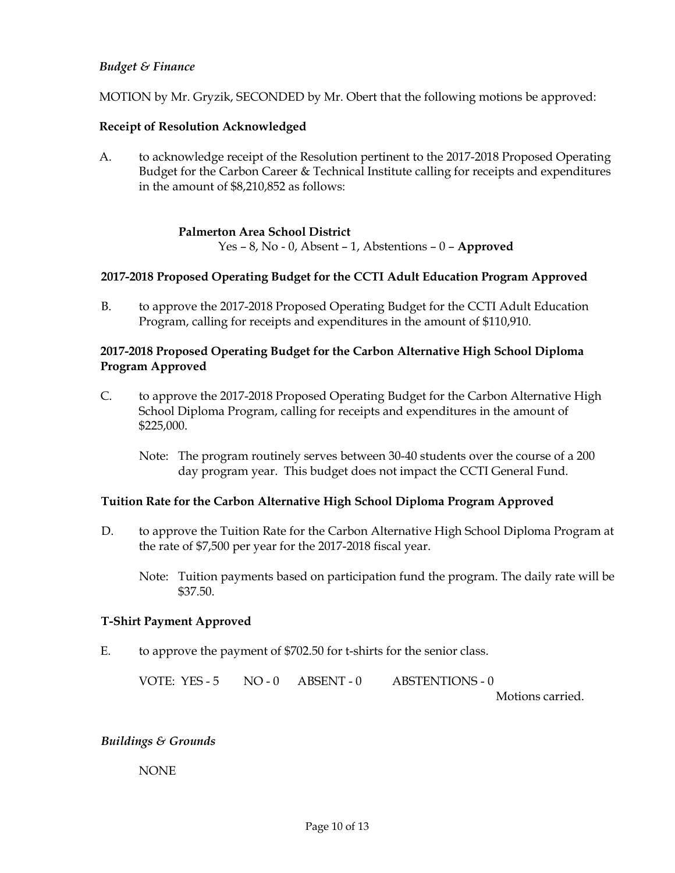# *Budget & Finance*

MOTION by Mr. Gryzik, SECONDED by Mr. Obert that the following motions be approved:

# **Receipt of Resolution Acknowledged**

A. to acknowledge receipt of the Resolution pertinent to the 2017-2018 Proposed Operating Budget for the Carbon Career & Technical Institute calling for receipts and expenditures in the amount of \$8,210,852 as follows:

# **Palmerton Area School District**

Yes – 8, No - 0, Absent – 1, Abstentions – 0 – **Approved**

# **2017-2018 Proposed Operating Budget for the CCTI Adult Education Program Approved**

B. to approve the 2017-2018 Proposed Operating Budget for the CCTI Adult Education Program, calling for receipts and expenditures in the amount of \$110,910.

# **2017-2018 Proposed Operating Budget for the Carbon Alternative High School Diploma Program Approved**

- C. to approve the 2017-2018 Proposed Operating Budget for the Carbon Alternative High School Diploma Program, calling for receipts and expenditures in the amount of \$225,000.
	- Note: The program routinely serves between 30-40 students over the course of a 200 day program year. This budget does not impact the CCTI General Fund.

# **Tuition Rate for the Carbon Alternative High School Diploma Program Approved**

- D. to approve the Tuition Rate for the Carbon Alternative High School Diploma Program at the rate of \$7,500 per year for the 2017-2018 fiscal year.
	- Note: Tuition payments based on participation fund the program. The daily rate will be \$37.50.

### **T-Shirt Payment Approved**

E. to approve the payment of \$702.50 for t-shirts for the senior class.

VOTE: YES - 5 NO - 0 ABSENT - 0 ABSTENTIONS - 0

Motions carried.

# *Buildings & Grounds*

NONE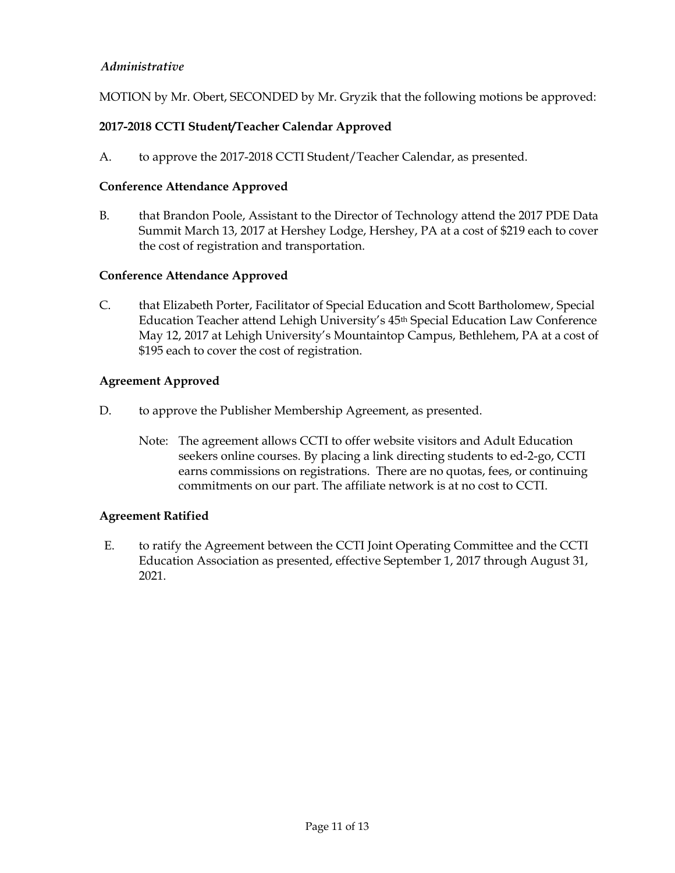# *Administrative*

MOTION by Mr. Obert, SECONDED by Mr. Gryzik that the following motions be approved:

# **2017-2018 CCTI Student/Teacher Calendar Approved**

A. to approve the 2017-2018 CCTI Student/Teacher Calendar, as presented.

### **Conference Attendance Approved**

B. that Brandon Poole, Assistant to the Director of Technology attend the 2017 PDE Data Summit March 13, 2017 at Hershey Lodge, Hershey, PA at a cost of \$219 each to cover the cost of registration and transportation.

# **Conference Attendance Approved**

C. that Elizabeth Porter, Facilitator of Special Education and Scott Bartholomew, Special Education Teacher attend Lehigh University's 45<sup>th</sup> Special Education Law Conference May 12, 2017 at Lehigh University's Mountaintop Campus, Bethlehem, PA at a cost of \$195 each to cover the cost of registration.

### **Agreement Approved**

- D. to approve the Publisher Membership Agreement, as presented.
	- Note: The agreement allows CCTI to offer website visitors and Adult Education seekers online courses. By placing a link directing students to ed-2-go, CCTI earns commissions on registrations. There are no quotas, fees, or continuing commitments on our part. The affiliate network is at no cost to CCTI.

### **Agreement Ratified**

E. to ratify the Agreement between the CCTI Joint Operating Committee and the CCTI Education Association as presented, effective September 1, 2017 through August 31, 2021.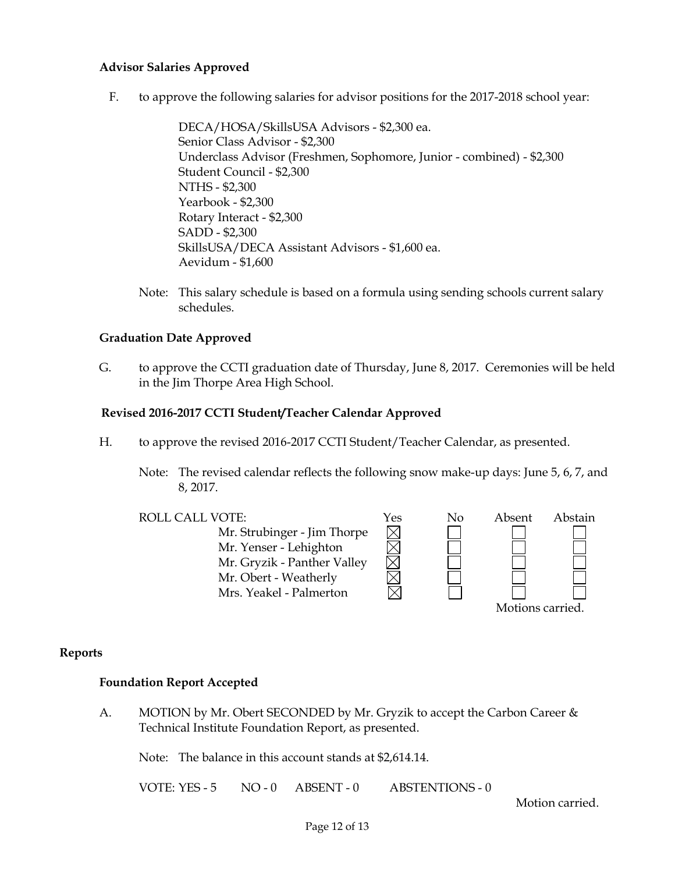### **Advisor Salaries Approved**

F. to approve the following salaries for advisor positions for the 2017-2018 school year:

DECA/HOSA/SkillsUSA Advisors - \$2,300 ea. Senior Class Advisor - \$2,300 Underclass Advisor (Freshmen, Sophomore, Junior - combined) - \$2,300 Student Council - \$2,300 NTHS - \$2,300 Yearbook - \$2,300 Rotary Interact - \$2,300 SADD - \$2,300 SkillsUSA/DECA Assistant Advisors - \$1,600 ea. Aevidum - \$1,600

Note: This salary schedule is based on a formula using sending schools current salary schedules.

### **Graduation Date Approved**

G. to approve the CCTI graduation date of Thursday, June 8, 2017. Ceremonies will be held in the Jim Thorpe Area High School.

# **Revised 2016-2017 CCTI Student/Teacher Calendar Approved**

- H. to approve the revised 2016-2017 CCTI Student/Teacher Calendar, as presented.
	- Note: The revised calendar reflects the following snow make-up days: June 5, 6, 7, and 8, 2017.



### **Reports**

### **Foundation Report Accepted**

A. MOTION by Mr. Obert SECONDED by Mr. Gryzik to accept the Carbon Career & Technical Institute Foundation Report, as presented.

Note: The balance in this account stands at \$2,614.14.

VOTE: YES - 5 NO - 0 ABSENT - 0 ABSTENTIONS - 0

Motion carried.